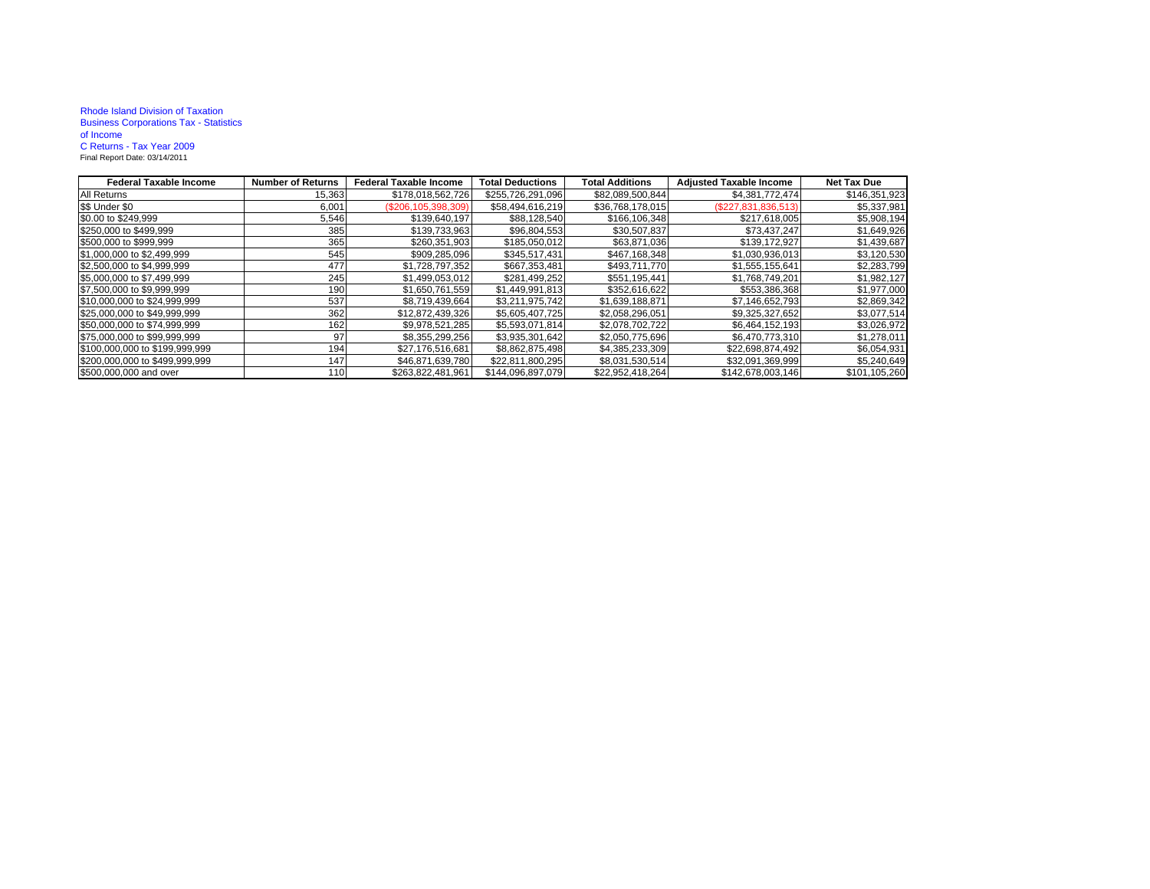## Rhode Island Division of Taxation Business Corporations Tax - Statistics of IncomeC Returns - Tax Year 2009 Final Report Date: 03/14/2011

| <b>Federal Taxable Income</b>  | <b>Number of Returns</b> | <b>Federal Taxable Income</b> | <b>Total Deductions</b> | <b>Total Additions</b> | <b>Adjusted Taxable Income</b> | <b>Net Tax Due</b> |
|--------------------------------|--------------------------|-------------------------------|-------------------------|------------------------|--------------------------------|--------------------|
| All Returns                    | 15,363                   | \$178,018,562,726             | \$255,726,291,096       | \$82,089,500,844       | \$4,381,772,474                | \$146,351,923      |
| \$\$ Under \$0                 | 6,001                    | $(\$206, 105, 398, 309)$      | \$58,494,616,219        | \$36,768,178,015       | (\$227,831,836,513)            | \$5,337,981        |
| \$0.00 to \$249,999            | 5,546                    | \$139,640,197                 | \$88,128,540            | \$166,106,348          | \$217,618,005                  | \$5,908,194        |
| \$250,000 to \$499,999         | 385                      | \$139,733,963                 | \$96,804,553            | \$30,507,837           | \$73,437,247                   | \$1,649,926        |
| \$500,000 to \$999,999         | 365                      | \$260,351,903                 | \$185,050,012           | \$63,871,036           | \$139,172,927                  | \$1,439,687        |
| \$1,000,000 to \$2,499,999     | 545                      | \$909,285,096                 | \$345,517,431           | \$467,168,348          | \$1,030,936,013                | \$3,120,530        |
| \$2,500,000 to \$4,999,999     | 477                      | \$1,728,797,352               | \$667,353,481           | \$493,711,770          | \$1,555,155,641                | \$2,283,799        |
| \$5,000,000 to \$7,499,999     | 245                      | \$1,499,053,012               | \$281,499,252           | \$551,195,441          | \$1,768,749,201                | \$1,982,127        |
| \$7,500,000 to \$9,999,999     | 190                      | \$1,650,761,559               | \$1,449,991,813         | \$352,616,622          | \$553,386,368                  | \$1,977,000        |
| \$10,000,000 to \$24,999,999   | 537                      | \$8,719,439,664               | \$3,211,975,742         | \$1,639,188,871        | \$7,146,652,793                | \$2,869,342        |
| \$25,000,000 to \$49,999,999   | 362                      | \$12.872.439.326              | \$5.605.407.725         | \$2,058,296,051        | \$9,325,327,652                | \$3,077,514        |
| \$50,000,000 to \$74,999,999   | 162                      | \$9,978,521,285               | \$5,593,071,814         | \$2,078,702,722        | \$6,464,152,193                | \$3,026,972        |
| \$75,000,000 to \$99,999,999   | 97                       | \$8,355,299,256               | \$3,935,301,642         | \$2,050,775,696        | \$6,470,773,310                | \$1,278,011        |
| \$100,000,000 to \$199,999,999 | 194                      | \$27,176,516,681              | \$8,862,875,498         | \$4,385,233,309        | \$22,698,874,492               | \$6,054,931        |
| \$200,000,000 to \$499,999,999 | 147                      | \$46,871,639,780              | \$22,811,800,295        | \$8,031,530,514        | \$32,091,369,999               | \$5,240,649        |
| \$500,000,000 and over         | 110                      | \$263,822,481,961             | \$144,096,897,079       | \$22,952,418,264       | \$142,678,003,146              | \$101,105,260      |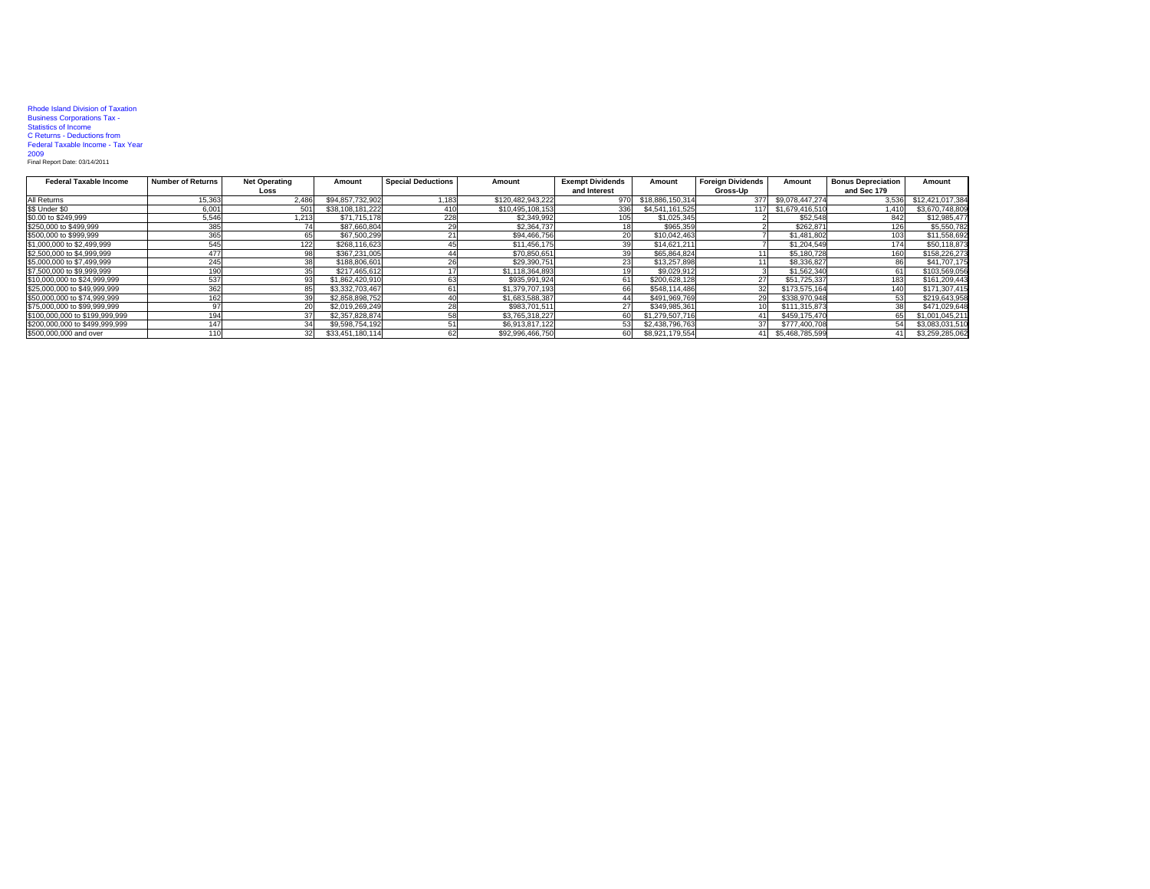| <b>Rhode Island Division of Taxation</b> |
|------------------------------------------|
| <b>Business Corporations Tax -</b>       |
| <b>Statistics of Income</b>              |
| C Returns - Deductions from              |
| Federal Taxable Income - Tax Year        |
| 2009                                     |
| Final Report Date: 03/14/2011            |

| <b>Federal Taxable Income</b>  | <b>Number of Returns</b> | <b>Net Operating</b> | Amount           | <b>Special Deductions</b> | Amount            | <b>Exempt Dividends</b> | Amount           | <b>Foreian Dividends</b> | Amount          | <b>Bonus Depreciation</b> | Amount           |
|--------------------------------|--------------------------|----------------------|------------------|---------------------------|-------------------|-------------------------|------------------|--------------------------|-----------------|---------------------------|------------------|
|                                |                          | Loss                 |                  |                           |                   | and Interest            |                  | Gross-Up                 |                 | and Sec 179               |                  |
| All Returns                    | 15,363                   | 2,486                | \$94,857,732,902 | 1.183                     | \$120.482.943.222 | 970                     | \$18,886,150,314 | 377                      | \$9,078,447,274 | 3,536                     | \$12,421,017,384 |
| \$\$ Under \$0                 | 6,001                    | 501                  | \$38,108,181,222 |                           | \$10.495.108.153  | 336                     | \$4,541,161,525  | 117                      | \$1,679,416,510 | 1.410                     | \$3,670,748,809  |
| \$0.00 to \$249,999            | 5,546                    | 1,213                | \$71,715,178     | 228                       | \$2,349,992       |                         | \$1,025,345      |                          | \$52,548        |                           | \$12,985,477     |
| \$250,000 to \$499,999         | 385                      |                      | \$87,660,804     |                           | \$2,364,737       |                         | \$965,359        |                          | \$262,87        |                           | \$5,550,782      |
| \$500,000 to \$999,999         | 365                      |                      | \$67,500,299     |                           | \$94,466,756      |                         | \$10,042,463     |                          | \$1,481,802     |                           | \$11,558,692     |
| \$1,000,000 to \$2,499,999     | 545                      | 1221                 | \$268,116,623    |                           | \$11,456,175      |                         | \$14,621,211     |                          | \$1,204.549     | 174                       | \$50,118,873     |
| \$2,500,000 to \$4,999,999     |                          |                      | \$367,231,005    |                           | \$70,850,651      |                         | \$65,864,824     |                          | \$5,180,728     | 160                       | \$158,226,273    |
| \$5,000,000 to \$7,499,999     | 245                      | 38                   | \$188,806,601    |                           | \$29,390,751      |                         | \$13,257,898     |                          | \$8,336,827     |                           | \$41,707,175     |
| \$7,500,000 to \$9,999,999     | 190                      |                      | \$217,465,612    |                           | \$1.118.364.893   |                         | \$9,029.912      |                          | \$1,562,340     |                           | \$103,569,056    |
| \$10,000,000 to \$24,999,999   | 537                      | 93                   | \$1,862,420,910  |                           | \$935.991.924     |                         | \$200,628,128    |                          | \$51,725,337    | 183                       | \$161,209,443    |
| \$25,000,000 to \$49,999,999   | 362                      |                      | \$3,332,703,467  |                           | \$1,379,707,193   |                         | \$548,114,486    | 32                       | \$173,575,164   |                           | \$171,307,415    |
| \$50,000,000 to \$74,999,999   | 162                      |                      | \$2,858,898,752  |                           | \$1,683,588,387   |                         | \$491,969,769    |                          | \$338,970,948   |                           | \$219,643,958    |
| \$75,000,000 to \$99,999,999   |                          |                      | \$2,019,269,249  |                           | \$983,701.511     |                         | \$349,985.361    |                          | \$111,315,873   |                           | \$471,029,648    |
| \$100,000,000 to \$199,999,999 | 194                      |                      | \$2,357,828,874  |                           | \$3.765.318.227   |                         | \$1,279,507,716  |                          | \$459.175.470   |                           | \$1,001.045.211  |
| \$200,000,000 to \$499,999,999 | 147                      | 34                   | \$9,598,754,192  |                           | \$6,913,817,122   |                         | \$2,438,796,763  | 37                       | \$777,400,708   |                           | \$3,083,031,510  |
| \$500,000,000 and over         |                          |                      | \$33,451,180,114 |                           | \$92,996,466,750  | 60                      | \$8,921,179,554  | 41 I                     | \$5,468,785,599 |                           | \$3,259,285,062  |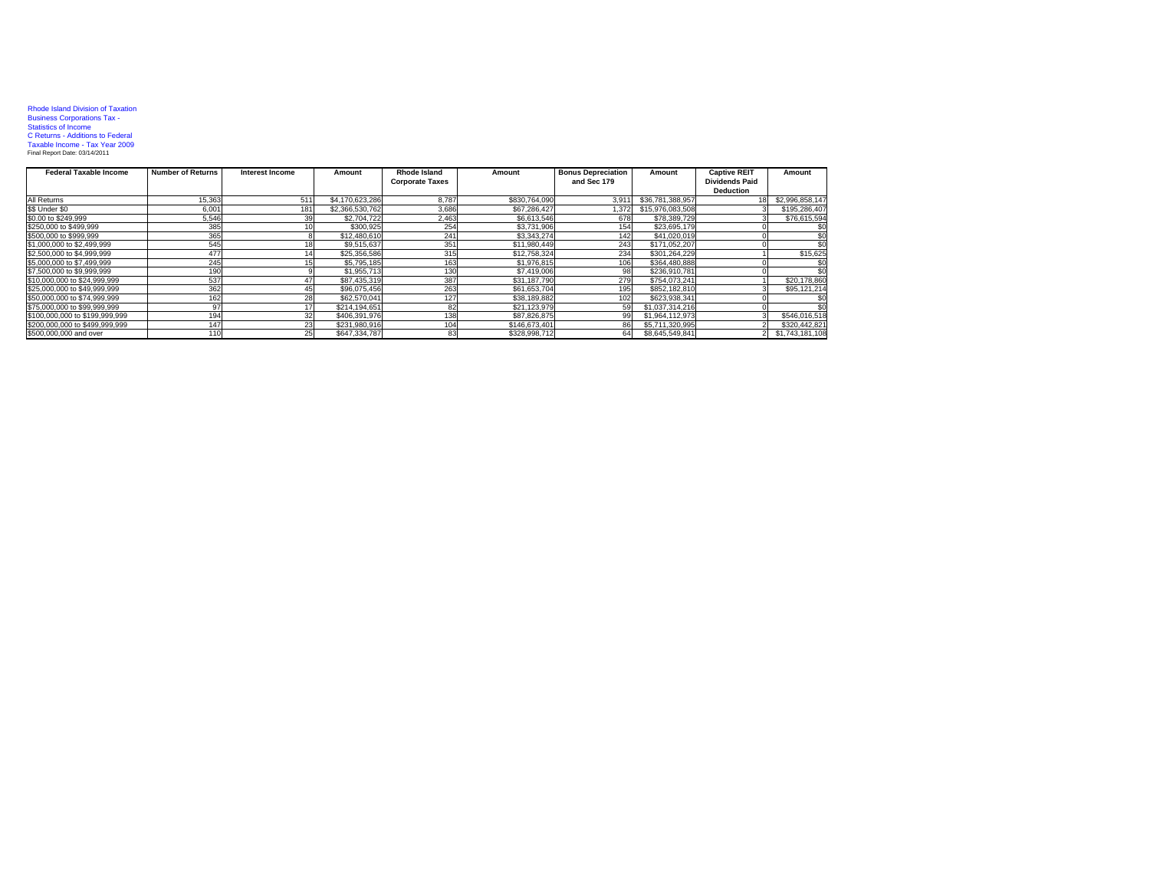## Rhode Island Division of Taxation<br>Business Corporations Tax -<br>Statistics of Income<br>C Returns - Additions to Federal<br>Taxable Income - Tax Year 2009<br>Final Report Date: 03/14/2011

| <b>Federal Taxable Income</b>  | <b>Number of Returns</b> | Interest Income | Amount          | Rhode Island           | Amount        | <b>Bonus Depreciation</b> | Amount           | <b>Captive REIT</b>   | Amount          |
|--------------------------------|--------------------------|-----------------|-----------------|------------------------|---------------|---------------------------|------------------|-----------------------|-----------------|
|                                |                          |                 |                 | <b>Corporate Taxes</b> |               | and Sec 179               |                  | <b>Dividends Paid</b> |                 |
|                                |                          |                 |                 |                        |               |                           |                  | <b>Deduction</b>      |                 |
| All Returns                    | 15.363                   | 511             | \$4,170,623,286 | 8.787                  | \$830,764,090 | 3.911                     | \$36,781,388,957 |                       | \$2,996,858,147 |
| \$\$ Under \$0                 | 6.001                    | 181             | \$2,366,530,762 | 3.686                  | \$67,286,427  | 1.372                     | \$15,976,083,508 |                       | \$195,286,407   |
| \$0.00 to \$249.999            | 5,546                    | 39              | \$2,704,722     | 2.463                  | \$6,613,546   | 678                       | \$78,389,729     |                       | \$76,615,594    |
| \$250,000 to \$499,999         | 385                      |                 | \$300.925       | 254                    | \$3,731,906   | 154                       | \$23,695,179     |                       |                 |
| \$500,000 to \$999,999         | 365                      |                 | \$12,480,610    | 241                    | \$3,343,274   | 142                       | \$41,020,019     |                       |                 |
| \$1,000,000 to \$2,499,999     | 545                      |                 | \$9,515,637     | 351                    | \$11,980,449  | 243                       | \$171,052,207    |                       |                 |
| \$2,500,000 to \$4,999,999     | 477                      |                 | \$25,356,586    | 315                    | \$12,758,324  | 234                       | \$301,264,229    |                       | \$15,625        |
| \$5,000,000 to \$7,499,999     | 245                      |                 | \$5,795,185     | 163                    | \$1,976,815   | 106                       | \$364,480,888    |                       |                 |
| \$7,500,000 to \$9,999,999     | 190                      |                 | \$1,955,713     | 130                    | \$7,419,006   | 98                        | \$236,910,781    |                       |                 |
| \$10,000,000 to \$24,999,999   | 537                      | 47              | \$87.435.319    | 387                    | \$31,187,790  | 279                       | \$754.073.241    |                       | \$20,178,860    |
| \$25,000,000 to \$49,999,999   | 362                      |                 | \$96.075.456    | 263                    | \$61,653,704  | 195                       | \$852,182,810    |                       | \$95,121,214    |
| \$50,000,000 to \$74,999,999   | 162                      | 28              | \$62,570,041    | 127                    | \$38,189,882  | 102                       | \$623,938,341    |                       |                 |
| \$75,000,000 to \$99,999,999   | 97                       |                 | \$214,194,651   | 82                     | \$21,123,979  |                           | \$1.037.314.216  |                       |                 |
| \$100,000,000 to \$199,999,999 | 194                      | 32              | \$406.391.976   | 138                    | \$87,826,875  |                           | \$1.964.112.973  |                       | \$546.016.518   |
| \$200,000,000 to \$499,999,999 | 147                      | 23              | \$231.980.916   | 104                    | \$146.673.401 |                           | \$5.711.320.995  |                       | \$320,442.821   |
| \$500,000,000 and over         | 11(                      | 25              | \$647,334,787   | 83                     | \$328,998.712 | 64                        | \$8,645,549,841  |                       | \$1,743,181,108 |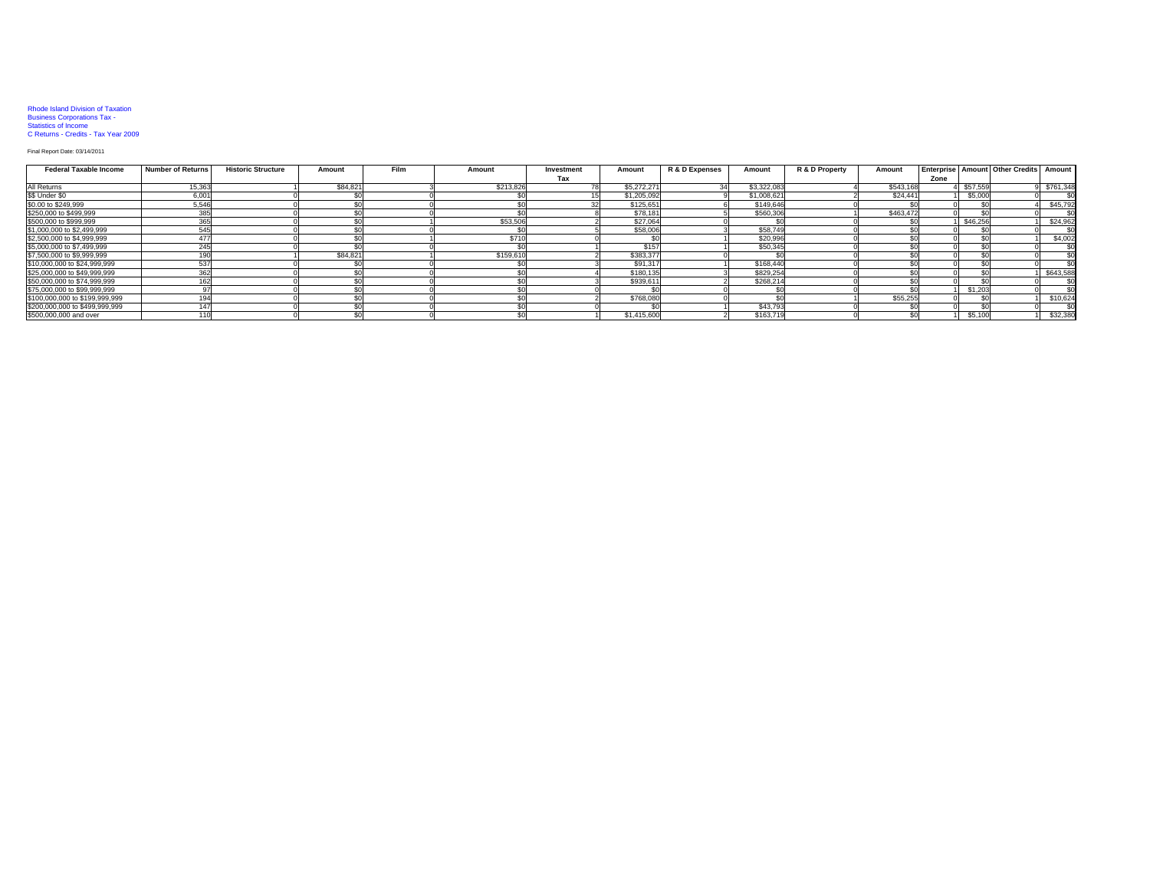## Rhode Island Division of Taxation Business Corporations Tax - Statistics of Income C Returns - Credits - Tax Year 2009

## Final Report Date: 03/14/2011

| <b>Federal Taxable Income</b>  | <b>Number of Returns</b> | <b>Historic Structure</b> | Amount   | <b>Film</b> | Amount    | Investment | Amount      | R & D Expenses | Amount      | R & D Property | Amount    |      |                 | <b>Enterprise Amount Other Credits</b> | Amount    |
|--------------------------------|--------------------------|---------------------------|----------|-------------|-----------|------------|-------------|----------------|-------------|----------------|-----------|------|-----------------|----------------------------------------|-----------|
|                                |                          |                           |          |             |           | Tax        |             |                |             |                |           | Zone |                 |                                        |           |
| All Returns                    | 15,363                   |                           | \$84,821 |             | \$213,826 |            | \$5,272,271 |                | \$3,322,083 |                | \$543,168 |      | \$57.559        |                                        | \$761,348 |
| \$\$ Under \$0                 | 6,001                    |                           |          |             |           |            | \$1,205,092 |                | \$1,008,621 |                | \$24,441  |      | \$5,000         |                                        |           |
| \$0.00 to \$249,999            | 5,546                    |                           |          |             |           |            | \$125,651   |                | \$149,646   |                |           |      |                 |                                        | \$45,792  |
| \$250,000 to \$499,999         | 385                      |                           |          |             |           |            | \$78,181    |                | \$560,306   |                | \$463,472 |      | \$0             |                                        |           |
| \$500,000 to \$999,999         | 365                      |                           |          |             | \$53,506  |            | \$27,064    |                |             |                |           |      | \$46,256        |                                        | \$24,962  |
| \$1,000,000 to \$2,499,999     | 545                      |                           |          |             |           |            | \$58,006    |                | \$58,749    |                |           |      |                 |                                        | \$0       |
| \$2,500,000 to \$4,999,999     | 477                      |                           |          |             | \$710     |            |             |                | \$20,996    |                |           |      | \$0             |                                        | \$4,002   |
| \$5,000,000 to \$7,499,999     | 245                      |                           |          |             |           |            | \$157       |                | \$50,345    |                |           |      | \$0             |                                        | \$0       |
| \$7,500,000 to \$9,999,999     | 10                       |                           | \$84,821 |             | \$159,610 |            | \$383,377   |                |             |                |           |      | \$ <sub>0</sub> |                                        | \$0       |
| \$10,000,000 to \$24,999,999   | 537                      |                           |          |             |           |            | \$91,317    |                | \$168,440   |                |           |      | \$ſ             |                                        | \$0       |
| \$25,000,000 to \$49,999,999   | 362                      |                           |          |             |           |            | \$180,135   |                | \$829,254   |                |           |      |                 |                                        | \$643,588 |
| \$50,000,000 to \$74,999,999   | 162                      |                           |          |             |           |            | \$939,611   |                | \$268,214   |                |           |      | $\sim$          |                                        | \$0       |
| \$75,000,000 to \$99,999,999   |                          |                           |          |             |           |            |             |                |             |                |           |      | \$1,203         |                                        | \$0       |
| \$100,000,000 to \$199,999,999 | 19                       |                           |          |             |           |            | \$768,080   |                |             |                | \$55,255  |      |                 |                                        | \$10,624  |
| \$200,000,000 to \$499,999,999 | 14                       |                           |          |             |           |            |             |                | \$43,793    |                |           |      |                 |                                        |           |
| \$500,000,000 and over         | 11(                      |                           |          |             |           |            | \$1,415,600 |                | \$163,719   |                |           |      | \$5,100         |                                        | \$32,380  |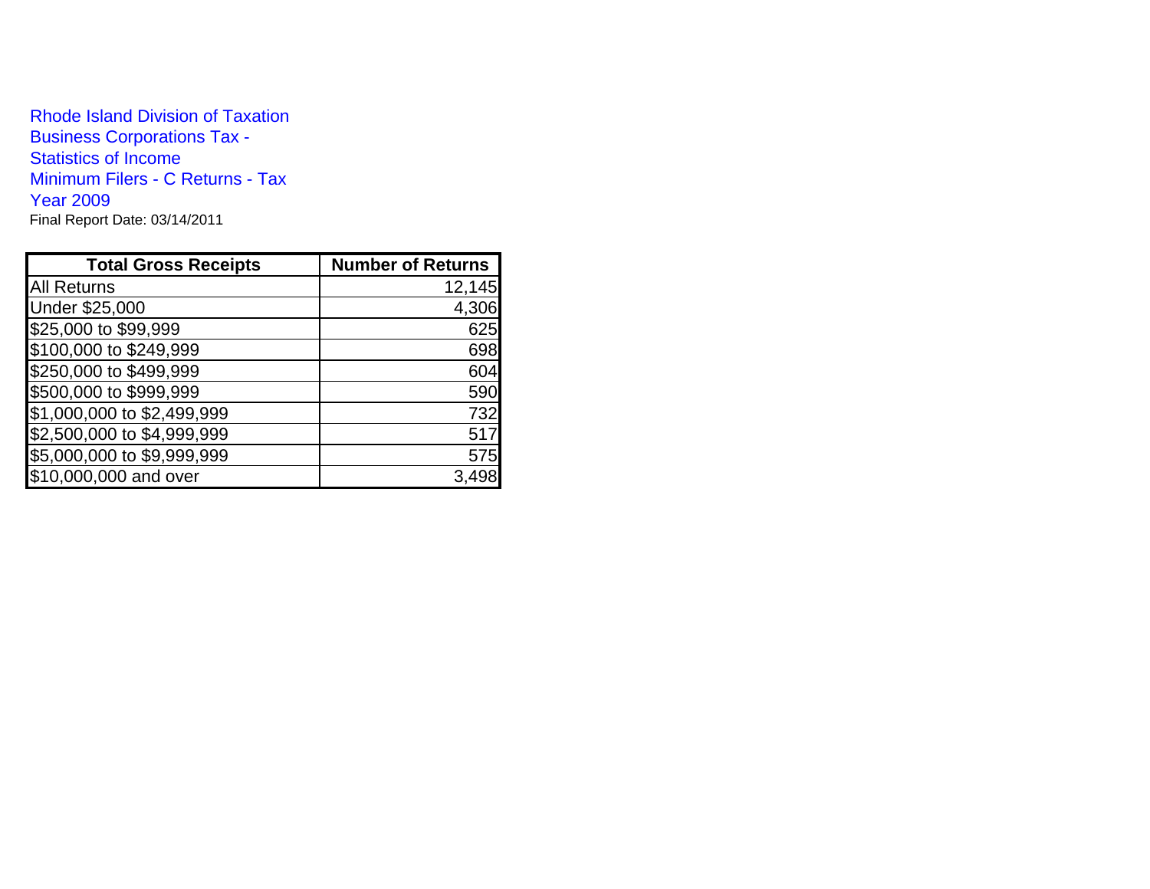Rhode Island Division of TaxationBusiness Corporations Tax - Statistics of Income Minimum Filers - C Returns - Tax Year 2009Final Report Date: 03/14/2011

| <b>Total Gross Receipts</b> | <b>Number of Returns</b> |
|-----------------------------|--------------------------|
| <b>All Returns</b>          | 12,145                   |
| Under \$25,000              | 4,306                    |
| \$25,000 to \$99,999        | 625                      |
| \$100,000 to \$249,999      | 698                      |
| \$250,000 to \$499,999      | 604                      |
| \$500,000 to \$999,999      | 590                      |
| \$1,000,000 to \$2,499,999  | 732                      |
| \$2,500,000 to \$4,999,999  | 517                      |
| \$5,000,000 to \$9,999,999  | 575                      |
| \$10,000,000 and over       |                          |